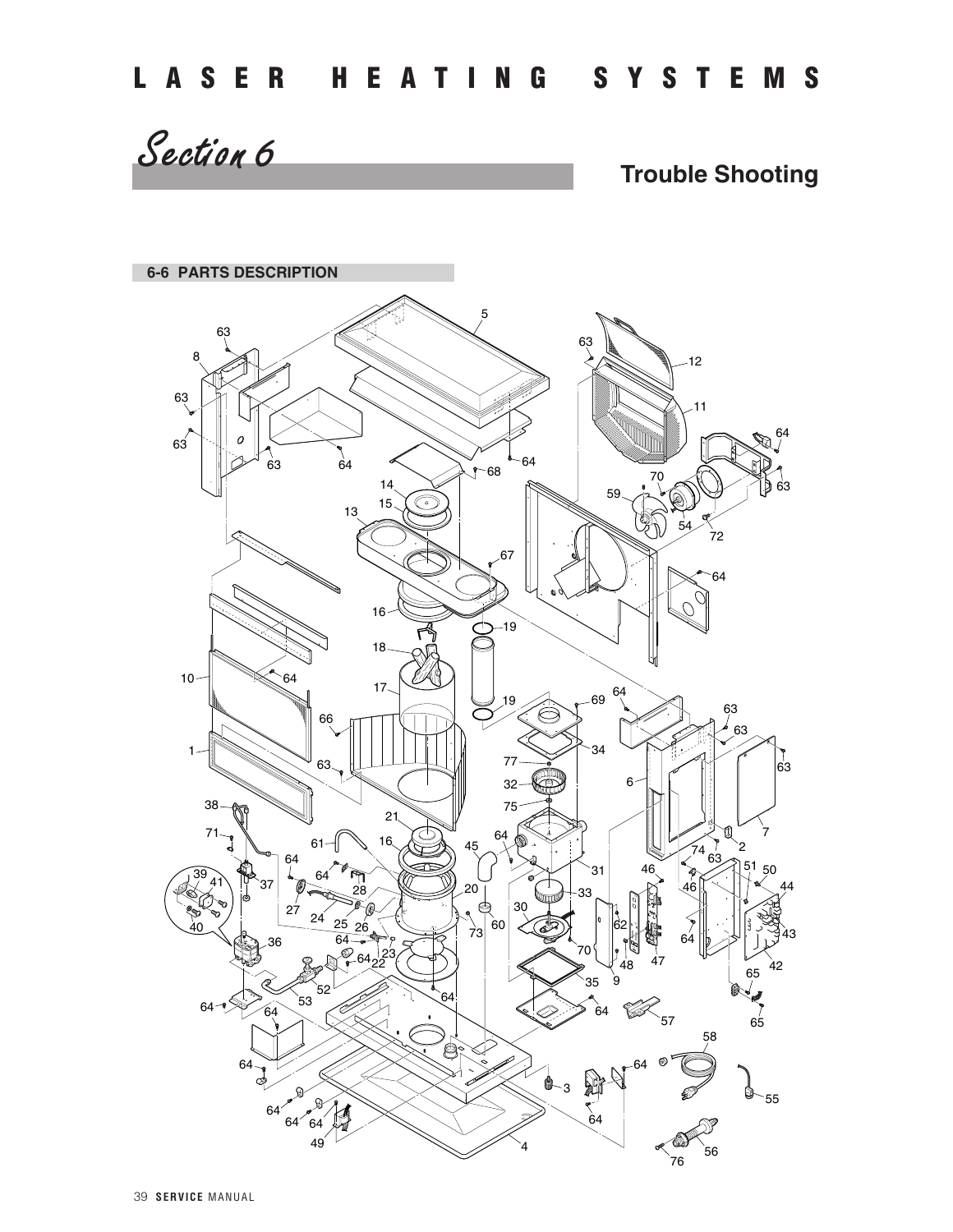